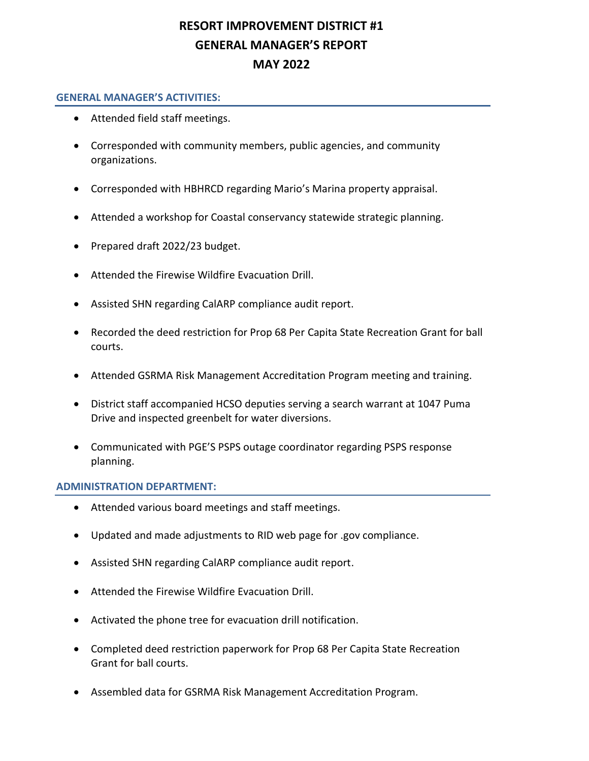# **RESORT IMPROVEMENT DISTRICT #1 GENERAL MANAGER'S REPORT MAY 2022**

### **GENERAL MANAGER'S ACTIVITIES:**

- Attended field staff meetings.
- Corresponded with community members, public agencies, and community organizations.
- Corresponded with HBHRCD regarding Mario's Marina property appraisal.
- Attended a workshop for Coastal conservancy statewide strategic planning.
- Prepared draft 2022/23 budget.
- Attended the Firewise Wildfire Evacuation Drill.
- Assisted SHN regarding CalARP compliance audit report.
- Recorded the deed restriction for Prop 68 Per Capita State Recreation Grant for ball courts.
- Attended GSRMA Risk Management Accreditation Program meeting and training.
- District staff accompanied HCSO deputies serving a search warrant at 1047 Puma Drive and inspected greenbelt for water diversions.
- Communicated with PGE'S PSPS outage coordinator regarding PSPS response planning.

#### **ADMINISTRATION DEPARTMENT:**

- Attended various board meetings and staff meetings.
- Updated and made adjustments to RID web page for .gov compliance.
- Assisted SHN regarding CalARP compliance audit report.
- Attended the Firewise Wildfire Evacuation Drill.
- Activated the phone tree for evacuation drill notification.
- Completed deed restriction paperwork for Prop 68 Per Capita State Recreation Grant for ball courts.
- Assembled data for GSRMA Risk Management Accreditation Program.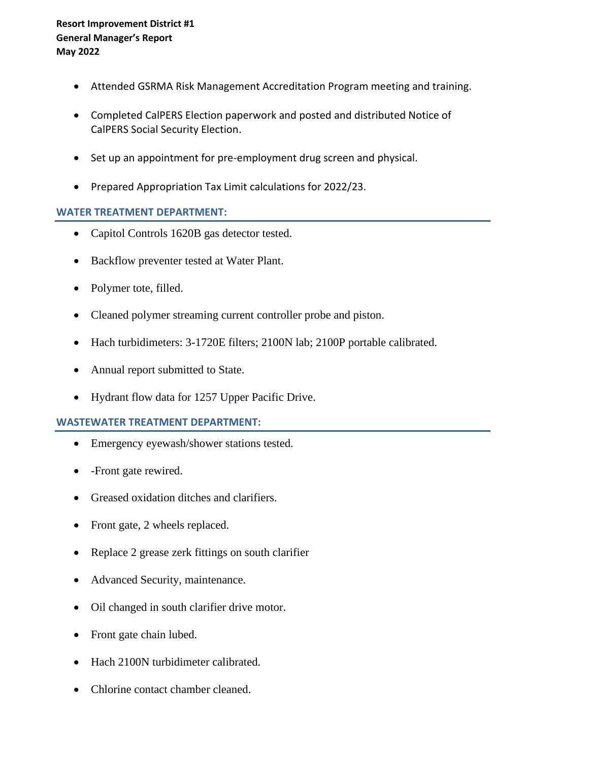- Attended GSRMA Risk Management Accreditation Program meeting and training.
- Completed CalPERS Election paperwork and posted and distributed Notice of CalPERS Social Security Election.
- Set up an appointment for pre-employment drug screen and physical.
- Prepared Appropriation Tax Limit calculations for 2022/23.

### **WATER TREATMENT DEPARTMENT:**

- Capitol Controls 1620B gas detector tested.
- Backflow preventer tested at Water Plant.
- Polymer tote, filled.
- Cleaned polymer streaming current controller probe and piston.
- Hach turbidimeters: 3-1720E filters; 2100N lab; 2100P portable calibrated.
- Annual report submitted to State.
- Hydrant flow data for 1257 Upper Pacific Drive.

### **WASTEWATER TREATMENT DEPARTMENT:**

- Emergency eyewash/shower stations tested.
- - Front gate rewired.
- Greased oxidation ditches and clarifiers.
- Front gate, 2 wheels replaced.
- Replace 2 grease zerk fittings on south clarifier
- Advanced Security, maintenance.
- Oil changed in south clarifier drive motor.
- Front gate chain lubed.
- Hach 2100N turbidimeter calibrated.
- Chlorine contact chamber cleaned.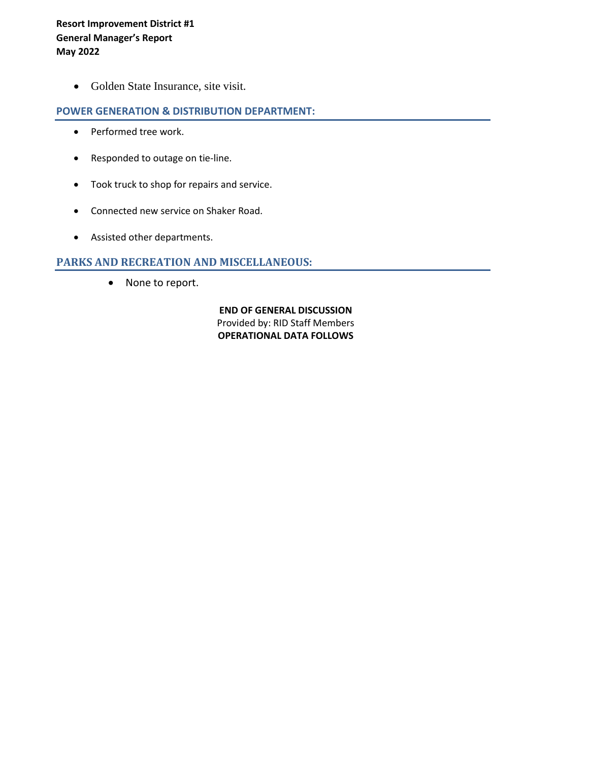• Golden State Insurance, site visit.

### **POWER GENERATION & DISTRIBUTION DEPARTMENT:**

- Performed tree work.
- Responded to outage on tie-line.
- Took truck to shop for repairs and service.
- Connected new service on Shaker Road.
- Assisted other departments.

### **PARKS AND RECREATION AND MISCELLANEOUS:**

• None to report.

**END OF GENERAL DISCUSSION** Provided by: RID Staff Members **OPERATIONAL DATA FOLLOWS**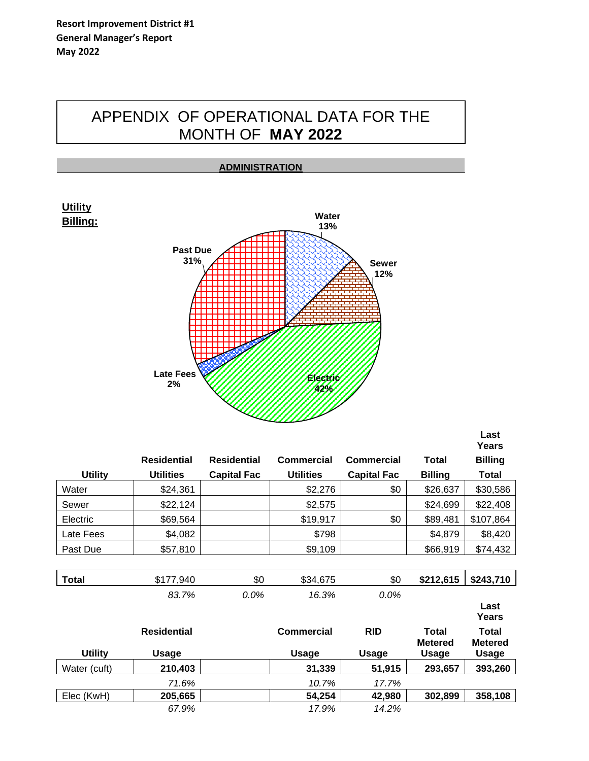# APPENDIX OF OPERATIONAL DATA FOR THE MONTH OF **MAY 2022**



|                |                    |                    |                  |                    |                | Years          |
|----------------|--------------------|--------------------|------------------|--------------------|----------------|----------------|
|                | <b>Residential</b> | <b>Residential</b> | Commercial       | <b>Commercial</b>  | <b>Total</b>   | <b>Billing</b> |
| <b>Utility</b> | <b>Utilities</b>   | <b>Capital Fac</b> | <b>Utilities</b> | <b>Capital Fac</b> | <b>Billing</b> | <b>Total</b>   |
| Water          | \$24,361           |                    | \$2,276          | \$0                | \$26,637       | \$30,586       |
| Sewer          | \$22,124           |                    | \$2,575          |                    | \$24,699       | \$22,408       |
| Electric       | \$69,564           |                    | \$19,917         | \$0                | \$89,481       | \$107,864      |
| Late Fees      | \$4,082            |                    | \$798            |                    | \$4,879        | \$8,420        |
| Past Due       | \$57,810           |                    | \$9,109          |                    | \$66,919       | \$74,432       |

| <b>Total</b>   | \$177,940          | \$0  | \$34,675     | \$0          | \$212,615               | \$243,710                      |
|----------------|--------------------|------|--------------|--------------|-------------------------|--------------------------------|
|                | 83.7%              | 0.0% | 16.3%        | 0.0%         |                         |                                |
|                |                    |      |              |              |                         | Last<br>Years                  |
|                | <b>Residential</b> |      | Commercial   | <b>RID</b>   | Total<br><b>Metered</b> | <b>Total</b><br><b>Metered</b> |
| <b>Utility</b> | Usage              |      | <b>Usage</b> | <b>Usage</b> | <b>Usage</b>            | <b>Usage</b>                   |
| Water (cuft)   | 210,403            |      | 31,339       | 51,915       | 293,657                 | 393,260                        |
|                | 71.6%              |      | 10.7%        | 17.7%        |                         |                                |
| Elec (KwH)     | 205,665            |      | 54,254       | 42,980       | 302,899                 | 358,108                        |
|                | 67.9%              |      | 17.9%        | 14.2%        |                         |                                |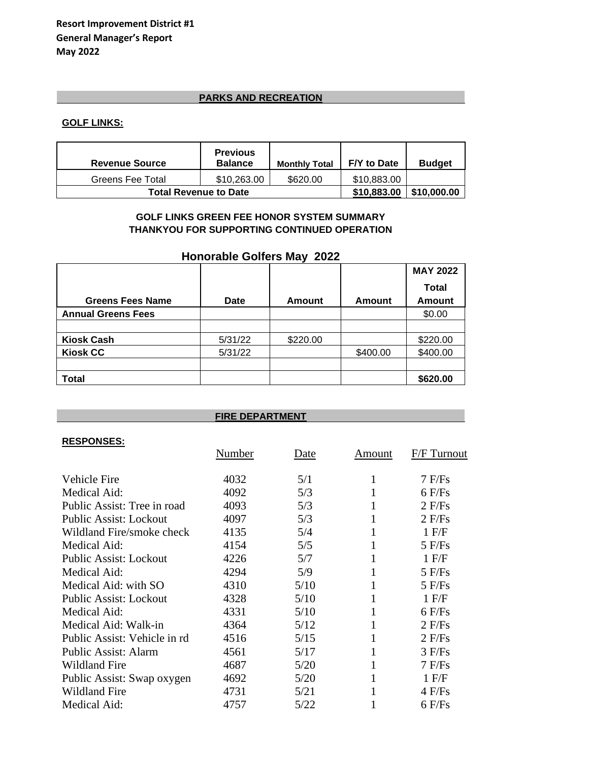# **PARKS AND RECREATION**

### **GOLF LINKS:**

| <b>Revenue Source</b>        | <b>Previous</b><br><b>Balance</b> | <b>Monthly Total</b> | F/Y to Date | <b>Budget</b> |
|------------------------------|-----------------------------------|----------------------|-------------|---------------|
| Greens Fee Total             | \$10,263,00                       | \$620.00             | \$10.883.00 |               |
| <b>Total Revenue to Date</b> | \$10,883.00                       | \$10,000.00          |             |               |

### **GOLF LINKS GREEN FEE HONOR SYSTEM SUMMARY THANKYOU FOR SUPPORTING CONTINUED OPERATION**

### **Honorable Golfers May 2022**

|                           |             |          |               | <b>MAY 2022</b> |
|---------------------------|-------------|----------|---------------|-----------------|
|                           |             |          |               | <b>Total</b>    |
| <b>Greens Fees Name</b>   | <b>Date</b> | Amount   | <b>Amount</b> | <b>Amount</b>   |
| <b>Annual Greens Fees</b> |             |          |               | \$0.00          |
|                           |             |          |               |                 |
| <b>Kiosk Cash</b>         | 5/31/22     | \$220.00 |               | \$220.00        |
| <b>Kiosk CC</b>           | 5/31/22     |          | \$400.00      | \$400.00        |
|                           |             |          |               |                 |
| Total                     |             |          |               | \$620.00        |

| <b>FIRE DEPARTMENT</b>        |        |             |        |             |  |  |
|-------------------------------|--------|-------------|--------|-------------|--|--|
| <b>RESPONSES:</b>             | Number | <u>Date</u> | Amount | F/F Turnout |  |  |
| <b>Vehicle Fire</b>           | 4032   | 5/1         | 1      | $7$ F/Fs    |  |  |
| Medical Aid:                  | 4092   | 5/3         |        | $6$ F/Fs    |  |  |
| Public Assist: Tree in road   | 4093   | 5/3         |        | $2$ F/Fs    |  |  |
| <b>Public Assist: Lockout</b> | 4097   | 5/3         | 1      | $2$ F/Fs    |  |  |
| Wildland Fire/smoke check     | 4135   | 5/4         |        | $1$ F/F     |  |  |
| Medical Aid:                  | 4154   | 5/5         | 1      | $5$ F/Fs    |  |  |
| <b>Public Assist: Lockout</b> | 4226   | 5/7         |        | $1$ F/F     |  |  |
| Medical Aid:                  | 4294   | 5/9         |        | $5$ F/Fs    |  |  |
| Medical Aid: with SO          | 4310   | 5/10        | 1      | $5$ F/Fs    |  |  |
| <b>Public Assist: Lockout</b> | 4328   | 5/10        | 1      | $1$ F/F     |  |  |
| Medical Aid:                  | 4331   | 5/10        | 1      | $6$ F/Fs    |  |  |
| Medical Aid: Walk-in          | 4364   | 5/12        |        | $2$ F/Fs    |  |  |
| Public Assist: Vehicle in rd  | 4516   | 5/15        | 1      | $2$ F/Fs    |  |  |
| <b>Public Assist: Alarm</b>   | 4561   | 5/17        | 1      | $3$ F/Fs    |  |  |
| <b>Wildland Fire</b>          | 4687   | 5/20        | 1      | $7$ F/Fs    |  |  |
| Public Assist: Swap oxygen    | 4692   | 5/20        | 1      | $1$ F/F     |  |  |
| <b>Wildland Fire</b>          | 4731   | 5/21        |        | $4$ F/Fs    |  |  |
| Medical Aid:                  | 4757   | 5/22        |        | $6$ F/Fs    |  |  |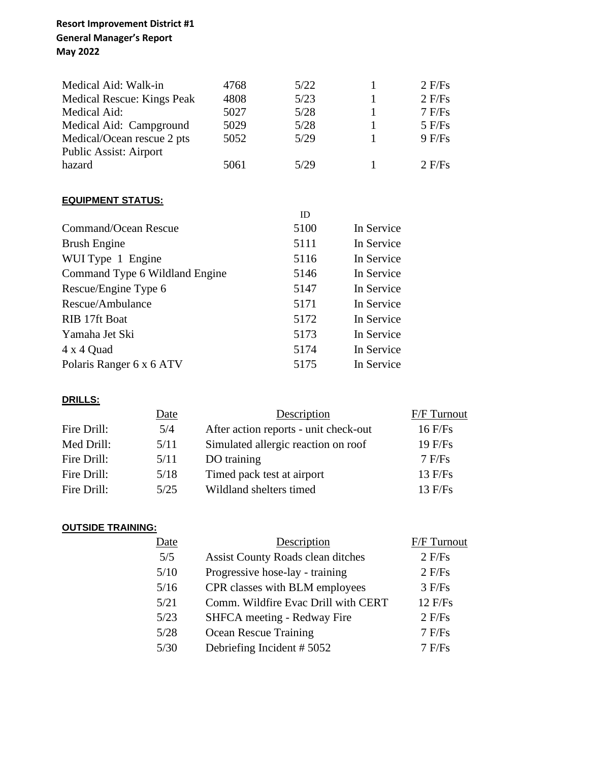# **Resort Improvement District #1 General Manager's Report May 2022**

| Medical Aid: Walk-in              | 4768 | 5/22       | 1          | $2$ F/Fs |
|-----------------------------------|------|------------|------------|----------|
| <b>Medical Rescue: Kings Peak</b> | 4808 | 5/23       | 1          | $2$ F/Fs |
| Medical Aid:                      | 5027 | 5/28       | 1          | 7 F/Fs   |
| Medical Aid: Campground           | 5029 | 5/28       | 1          | $5$ F/Fs |
| Medical/Ocean rescue 2 pts        | 5052 | 5/29       | 1          | 9 F/Fs   |
| Public Assist: Airport            |      |            |            |          |
| hazard                            | 5061 | 5/29       | 1          | $2$ F/Fs |
|                                   |      |            |            |          |
| <b>EQUIPMENT STATUS:</b>          |      |            |            |          |
|                                   |      | ID         |            |          |
| <b>Command/Ocean Rescue</b>       |      | 5100       | In Service |          |
| <b>Brush Engine</b>               |      | 5111       | In Service |          |
| WUI Type 1 Engine                 |      | 5116       | In Service |          |
| Command Type 6 Wildland Engine    |      | 5146       | In Service |          |
| Rescue/Engine Type 6              |      | 5147       | In Service |          |
| Rescue/Ambulance                  | 5171 | In Service |            |          |
| RIB 17ft Boat                     | 5172 | In Service |            |          |
| Yamaha Jet Ski                    |      | 5173       | In Service |          |
| 4 x 4 Quad                        |      | 5174       | In Service |          |
| Polaris Ranger 6 x 6 ATV          | 5175 | In Service |            |          |
|                                   |      |            |            |          |

# **DRILLS:**

|             | <b>Date</b> | Description                           | <b>F/F</b> Turnout |
|-------------|-------------|---------------------------------------|--------------------|
| Fire Drill: | 5/4         | After action reports - unit check-out | $16$ F/Fs          |
| Med Drill:  | 5/11        | Simulated allergic reaction on roof   | $19$ F/Fs          |
| Fire Drill: | 5/11        | DO training                           | $7$ F/Fs           |
| Fire Drill: | 5/18        | Timed pack test at airport            | 13 F/Fs            |
| Fire Drill: | 5/25        | Wildland shelters timed               | $13$ F/Fs          |

# **OUTSIDE TRAINING:**

| Date | Description                              | <b>F/F Turnout</b> |
|------|------------------------------------------|--------------------|
| 5/5  | <b>Assist County Roads clean ditches</b> | $2$ F/Fs           |
| 5/10 | Progressive hose-lay - training          | $2$ F/Fs           |
| 5/16 | CPR classes with BLM employees           | $3$ F/Fs           |
| 5/21 | Comm. Wildfire Evac Drill with CERT      | 12 F/Fs            |
| 5/23 | SHFCA meeting - Redway Fire              | $2$ F/Fs           |
| 5/28 | <b>Ocean Rescue Training</b>             | $7$ F/Fs           |
| 5/30 | Debriefing Incident #5052                | $7$ F/Fs           |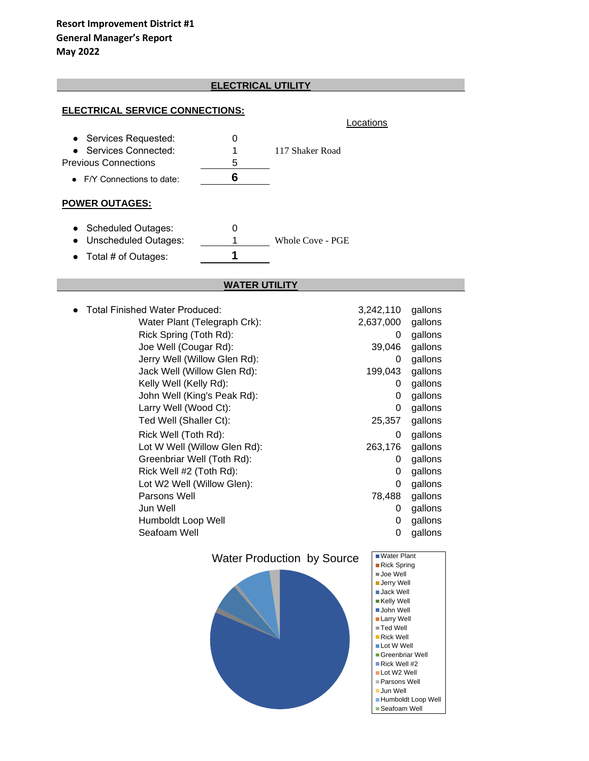# **ELECTRICAL UTILITY ELECTRICAL UTILITY**

#### **ELECTRICAL SERVICE CONNECTIONS:**

| <b>ELECTRICAL SERVICE CONNECTIONS:</b> |                              |                                   |                                                |                     |
|----------------------------------------|------------------------------|-----------------------------------|------------------------------------------------|---------------------|
|                                        |                              | Locations                         |                                                |                     |
| Services Requested:                    | 0                            |                                   |                                                |                     |
| <b>Services Connected:</b>             | 1                            | 117 Shaker Road                   |                                                |                     |
| <b>Previous Connections</b>            | 5                            |                                   |                                                |                     |
| • F/Y Connections to date:             | 6                            |                                   |                                                |                     |
| <b>POWER OUTAGES:</b>                  |                              |                                   |                                                |                     |
| <b>Scheduled Outages:</b>              | 0                            |                                   |                                                |                     |
| <b>Unscheduled Outages:</b>            | 1                            | Whole Cove - PGE                  |                                                |                     |
| Total # of Outages:                    | 1                            |                                   |                                                |                     |
|                                        | <b>WATER UTILITY</b>         |                                   |                                                |                     |
|                                        |                              |                                   |                                                |                     |
| <b>Total Finished Water Produced:</b>  |                              |                                   | 3,242,110                                      | gallons             |
|                                        | Water Plant (Telegraph Crk): |                                   | 2,637,000                                      | gallons             |
| Rick Spring (Toth Rd):                 |                              |                                   | 0                                              | gallons             |
| Joe Well (Cougar Rd):                  | Jerry Well (Willow Glen Rd): |                                   | 39,046<br>0                                    | gallons             |
| Jack Well (Willow Glen Rd):            |                              |                                   | 199,043                                        | gallons<br>gallons  |
| Kelly Well (Kelly Rd):                 |                              |                                   | 0                                              | gallons             |
| John Well (King's Peak Rd):            |                              |                                   | 0                                              | gallons             |
| Larry Well (Wood Ct):                  |                              |                                   | 0                                              | gallons             |
| Ted Well (Shaller Ct):                 |                              |                                   | 25,357                                         | gallons             |
| Rick Well (Toth Rd):                   |                              |                                   | 0                                              | gallons             |
|                                        | Lot W Well (Willow Glen Rd): |                                   | 263,176                                        | gallons             |
| Greenbriar Well (Toth Rd):             |                              |                                   | 0                                              | gallons             |
| Rick Well #2 (Toth Rd):                |                              |                                   | 0                                              | gallons             |
| Lot W2 Well (Willow Glen):             |                              |                                   | 0                                              | gallons             |
| Parsons Well                           |                              |                                   | 78,488                                         | gallons             |
| Jun Well                               |                              |                                   | 0                                              | gallons             |
| Humboldt Loop Well                     |                              |                                   | 0                                              | gallons             |
| Seafoam Well                           |                              |                                   | 0                                              | gallons             |
|                                        |                              | <b>Water Production by Source</b> | Water Plant                                    |                     |
|                                        |                              |                                   | ■ Rick Spring<br>■Joe Well                     |                     |
|                                        |                              |                                   | <b>Jerry Well</b>                              |                     |
|                                        |                              |                                   | ■ Jack Well<br>■Kelly Well                     |                     |
|                                        |                              |                                   | John Well                                      |                     |
|                                        |                              |                                   | ■ Larry Well                                   |                     |
|                                        |                              |                                   | ≣Ted Well<br>Rick Well                         |                     |
|                                        |                              |                                   | Lot W Well                                     |                     |
|                                        |                              |                                   | Greenbriar Well<br>$\blacksquare$ Rick Well #2 |                     |
|                                        |                              |                                   | Lot W2 Well                                    |                     |
|                                        |                              |                                   | Parsons Well                                   |                     |
|                                        |                              |                                   | <b>Jun Well</b>                                | ■Humboldt Loop Well |
|                                        |                              |                                   | $\blacksquare$ Seafoam Well                    |                     |

Seafoam Well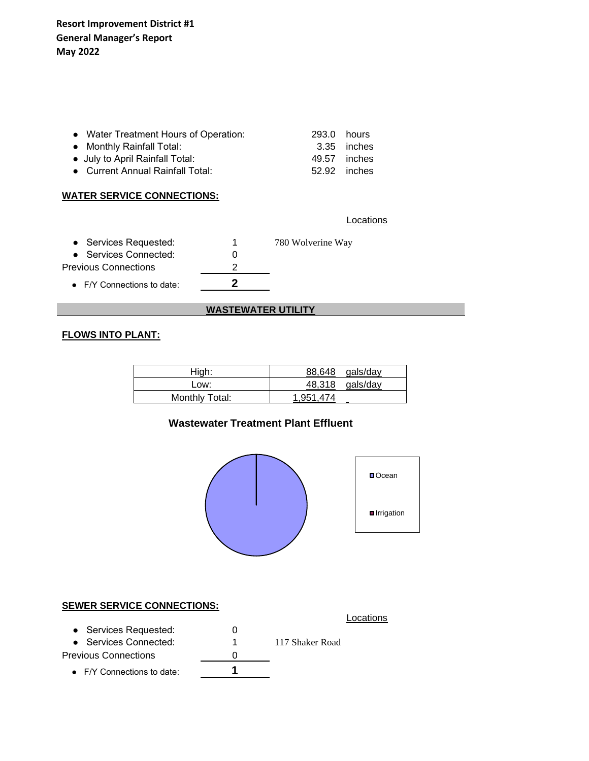| • Water Treatment Hours of Operation: | 293.0 hours |              |
|---------------------------------------|-------------|--------------|
| • Monthly Rainfall Total:             |             | 3.35 inches  |
| • July to April Rainfall Total:       |             | 49.57 inches |
| • Current Annual Rainfall Total:      |             | 52.92 inches |
|                                       |             |              |

### **WATER SERVICE CONNECTIONS:**

**Locations** 

| • Services Requested:              | 1 | 780 Wolverine Way |
|------------------------------------|---|-------------------|
| • Services Connected:              |   |                   |
| Previous Connections               |   |                   |
| $\bullet$ F/Y Connections to date: |   |                   |

### **WASTEWATER UTILITY**

# **FLOWS INTO PLANT:**

| High:          | 88,648 gals/day   |
|----------------|-------------------|
| Low:           | $48,318$ gals/day |
| Monthly Total: | 1.951.474         |

### **Wastewater Treatment Plant Effluent**



### **SEWER SERVICE CONNECTIONS:**

| SLWER SERVIGE CONNECTIONS.         |                 |
|------------------------------------|-----------------|
|                                    | Locations       |
| • Services Requested:              |                 |
| • Services Connected:              | 117 Shaker Road |
| Previous Connections               |                 |
| $\bullet$ F/Y Connections to date: |                 |